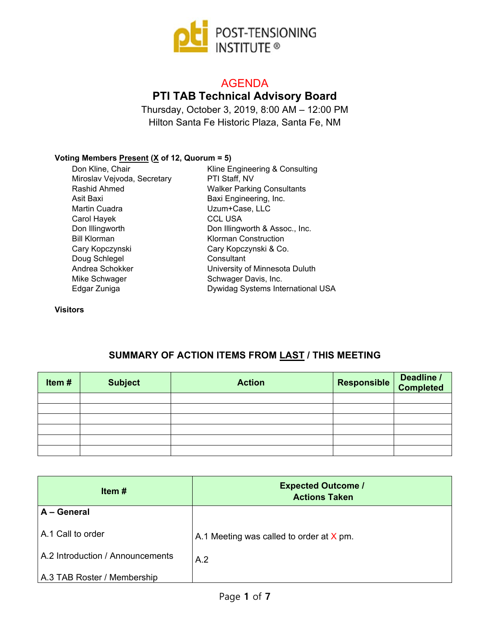

# AGENDA

# **PTI TAB Technical Advisory Board**

Thursday, October 3, 2019, 8:00 AM – 12:00 PM Hilton Santa Fe Historic Plaza, Santa Fe, NM

#### **Voting Members Present (X of 12, Quorum = 5)**

| Don Kline, Chair            | Kline Engineering & Consulting    |
|-----------------------------|-----------------------------------|
| Miroslav Vejvoda, Secretary | PTI Staff, NV                     |
| Rashid Ahmed                | <b>Walker Parking Consultants</b> |
| Asit Baxi                   | Baxi Engineering, Inc.            |
| Martin Cuadra               | Uzum+Case, LLC                    |
| Carol Hayek                 | <b>CCL USA</b>                    |
| Don Illingworth             | Don Illingworth & Assoc., Inc.    |
| <b>Bill Klorman</b>         | <b>Klorman Construction</b>       |
| Cary Kopczynski             | Cary Kopczynski & Co.             |
| Doug Schlegel               | Consultant                        |
| Andrea Schokker             | University of Minnesota Duluth    |
| Mike Schwager               | Schwager Davis, Inc.              |
| Edgar Zuniga                | Dywidag Systems International USA |
|                             |                                   |

**Visitors**

### **SUMMARY OF ACTION ITEMS FROM LAST / THIS MEETING**

| Item# | <b>Subject</b> | <b>Action</b> | Responsible Deadline / |  |
|-------|----------------|---------------|------------------------|--|
|       |                |               |                        |  |
|       |                |               |                        |  |
|       |                |               |                        |  |
|       |                |               |                        |  |
|       |                |               |                        |  |
|       |                |               |                        |  |

| Item $#$                         | <b>Expected Outcome /</b><br><b>Actions Taken</b> |
|----------------------------------|---------------------------------------------------|
| A - General                      |                                                   |
| A.1 Call to order                | A.1 Meeting was called to order at $X$ pm.        |
| A.2 Introduction / Announcements | A.2                                               |
| A.3 TAB Roster / Membership      |                                                   |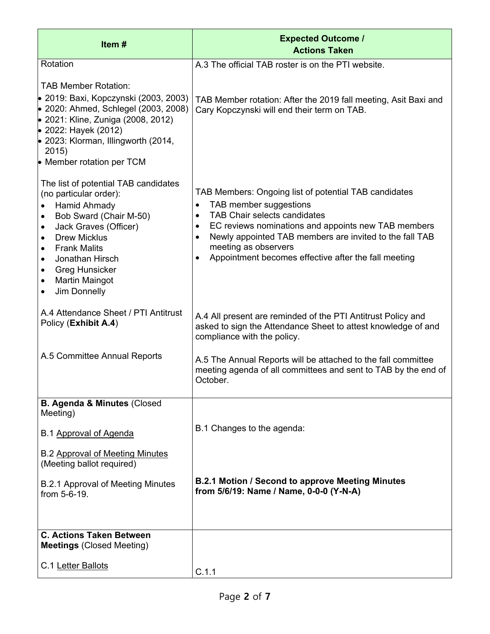| Item#                                                                                                                                                                                                                                                                                   | <b>Expected Outcome /</b><br><b>Actions Taken</b>                                                                                                                                                                                                                                                                                                                                         |
|-----------------------------------------------------------------------------------------------------------------------------------------------------------------------------------------------------------------------------------------------------------------------------------------|-------------------------------------------------------------------------------------------------------------------------------------------------------------------------------------------------------------------------------------------------------------------------------------------------------------------------------------------------------------------------------------------|
| Rotation                                                                                                                                                                                                                                                                                | A.3 The official TAB roster is on the PTI website.                                                                                                                                                                                                                                                                                                                                        |
| <b>TAB Member Rotation:</b><br>• 2019: Baxi, Kopczynski (2003, 2003)<br>• 2020: Ahmed, Schlegel (2003, 2008)<br>• 2021: Kline, Zuniga (2008, 2012)<br>• 2022: Hayek (2012)<br>$\bullet$ 2023: Klorman, Illingworth (2014,<br>2015)<br>• Member rotation per TCM                         | TAB Member rotation: After the 2019 fall meeting, Asit Baxi and<br>Cary Kopczynski will end their term on TAB.                                                                                                                                                                                                                                                                            |
| The list of potential TAB candidates<br>(no particular order):<br>Hamid Ahmady<br>Bob Sward (Chair M-50)<br>$\bullet$<br>Jack Graves (Officer)<br><b>Drew Micklus</b><br><b>Frank Malits</b><br>Jonathan Hirsch<br><b>Greg Hunsicker</b><br>Martin Maingot<br>Jim Donnelly<br>$\bullet$ | TAB Members: Ongoing list of potential TAB candidates<br>TAB member suggestions<br>$\bullet$<br><b>TAB Chair selects candidates</b><br>$\bullet$<br>EC reviews nominations and appoints new TAB members<br>$\bullet$<br>Newly appointed TAB members are invited to the fall TAB<br>$\bullet$<br>meeting as observers<br>Appointment becomes effective after the fall meeting<br>$\bullet$ |
| A.4 Attendance Sheet / PTI Antitrust<br>Policy (Exhibit A.4)                                                                                                                                                                                                                            | A.4 All present are reminded of the PTI Antitrust Policy and<br>asked to sign the Attendance Sheet to attest knowledge of and<br>compliance with the policy.                                                                                                                                                                                                                              |
| A.5 Committee Annual Reports                                                                                                                                                                                                                                                            | A.5 The Annual Reports will be attached to the fall committee<br>meeting agenda of all committees and sent to TAB by the end of<br>October.                                                                                                                                                                                                                                               |
| <b>B. Agenda &amp; Minutes (Closed</b><br>Meeting)                                                                                                                                                                                                                                      |                                                                                                                                                                                                                                                                                                                                                                                           |
| B.1 Approval of Agenda                                                                                                                                                                                                                                                                  | B.1 Changes to the agenda:                                                                                                                                                                                                                                                                                                                                                                |
| <b>B.2 Approval of Meeting Minutes</b><br>(Meeting ballot required)                                                                                                                                                                                                                     |                                                                                                                                                                                                                                                                                                                                                                                           |
| <b>B.2.1 Approval of Meeting Minutes</b><br>from 5-6-19.                                                                                                                                                                                                                                | <b>B.2.1 Motion / Second to approve Meeting Minutes</b><br>from 5/6/19: Name / Name, 0-0-0 (Y-N-A)                                                                                                                                                                                                                                                                                        |
| <b>C. Actions Taken Between</b><br><b>Meetings (Closed Meeting)</b>                                                                                                                                                                                                                     |                                                                                                                                                                                                                                                                                                                                                                                           |
| C.1 Letter Ballots                                                                                                                                                                                                                                                                      | C.1.1                                                                                                                                                                                                                                                                                                                                                                                     |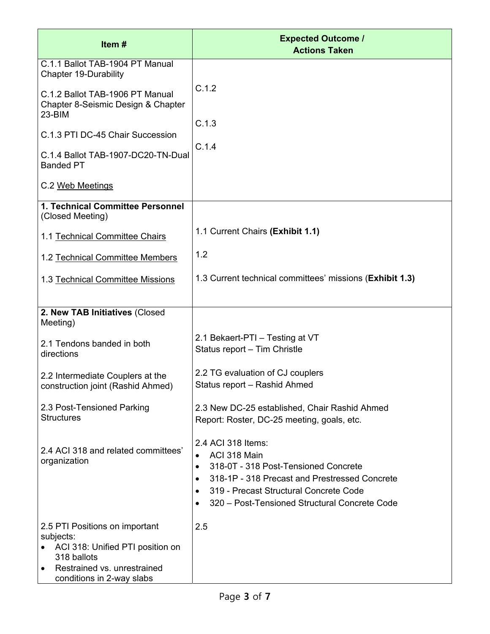| Item#                                                                                                                                                           | <b>Expected Outcome /</b><br><b>Actions Taken</b>                                                                                                                                                                                                |
|-----------------------------------------------------------------------------------------------------------------------------------------------------------------|--------------------------------------------------------------------------------------------------------------------------------------------------------------------------------------------------------------------------------------------------|
| C.1.1 Ballot TAB-1904 PT Manual<br><b>Chapter 19-Durability</b>                                                                                                 |                                                                                                                                                                                                                                                  |
| C.1.2 Ballot TAB-1906 PT Manual<br>Chapter 8-Seismic Design & Chapter<br>23-BIM                                                                                 | C.1.2                                                                                                                                                                                                                                            |
| C.1.3 PTI DC-45 Chair Succession                                                                                                                                | C.1.3<br>C.1.4                                                                                                                                                                                                                                   |
| C.1.4 Ballot TAB-1907-DC20-TN-Dual<br><b>Banded PT</b>                                                                                                          |                                                                                                                                                                                                                                                  |
| C.2 Web Meetings                                                                                                                                                |                                                                                                                                                                                                                                                  |
| 1. Technical Committee Personnel<br>(Closed Meeting)                                                                                                            |                                                                                                                                                                                                                                                  |
| 1.1 Technical Committee Chairs                                                                                                                                  | 1.1 Current Chairs (Exhibit 1.1)                                                                                                                                                                                                                 |
| 1.2 Technical Committee Members                                                                                                                                 | 1.2                                                                                                                                                                                                                                              |
| 1.3 Technical Committee Missions                                                                                                                                | 1.3 Current technical committees' missions (Exhibit 1.3)                                                                                                                                                                                         |
| 2. New TAB Initiatives (Closed<br>Meeting)                                                                                                                      |                                                                                                                                                                                                                                                  |
| 2.1 Tendons banded in both<br>directions                                                                                                                        | 2.1 Bekaert-PTI - Testing at VT<br>Status report - Tim Christle                                                                                                                                                                                  |
| 2.2 Intermediate Couplers at the<br>construction joint (Rashid Ahmed)                                                                                           | 2.2 TG evaluation of CJ couplers<br>Status report - Rashid Ahmed                                                                                                                                                                                 |
| 2.3 Post-Tensioned Parking<br><b>Structures</b>                                                                                                                 | 2.3 New DC-25 established, Chair Rashid Ahmed<br>Report: Roster, DC-25 meeting, goals, etc.                                                                                                                                                      |
| 2.4 ACI 318 and related committees'<br>organization                                                                                                             | 2.4 ACI 318 Items:<br>ACI 318 Main<br>318-0T - 318 Post-Tensioned Concrete<br>$\bullet$<br>318-1P - 318 Precast and Prestressed Concrete<br>$\bullet$<br>319 - Precast Structural Concrete Code<br>320 – Post-Tensioned Structural Concrete Code |
| 2.5 PTI Positions on important<br>subjects:<br>ACI 318: Unified PTI position on<br>318 ballots<br>Restrained vs. unrestrained<br>٠<br>conditions in 2-way slabs | 2.5                                                                                                                                                                                                                                              |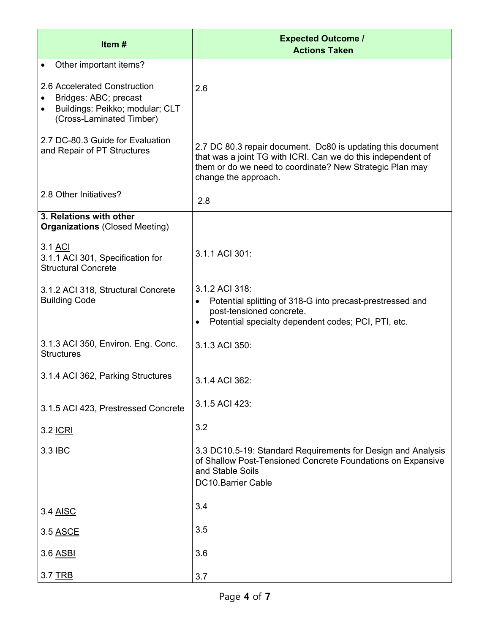| Item#                                                                                                                             | <b>Expected Outcome /</b><br><b>Actions Taken</b>                                                                                                                                                               |
|-----------------------------------------------------------------------------------------------------------------------------------|-----------------------------------------------------------------------------------------------------------------------------------------------------------------------------------------------------------------|
| Other important items?                                                                                                            |                                                                                                                                                                                                                 |
| 2.6 Accelerated Construction<br>Bridges: ABC; precast<br>Buildings: Peikko; modular; CLT<br>$\bullet$<br>(Cross-Laminated Timber) | 2.6                                                                                                                                                                                                             |
| 2.7 DC-80.3 Guide for Evaluation<br>and Repair of PT Structures                                                                   | 2.7 DC 80.3 repair document. Dc80 is updating this document<br>that was a joint TG with ICRI. Can we do this independent of<br>them or do we need to coordinate? New Strategic Plan may<br>change the approach. |
| 2.8 Other Initiatives?                                                                                                            | 2.8                                                                                                                                                                                                             |
| 3. Relations with other<br><b>Organizations (Closed Meeting)</b>                                                                  |                                                                                                                                                                                                                 |
| 3.1 ACI<br>3.1.1 ACI 301, Specification for<br><b>Structural Concrete</b>                                                         | 3.1.1 ACI 301:                                                                                                                                                                                                  |
| 3.1.2 ACI 318, Structural Concrete<br><b>Building Code</b>                                                                        | 3.1.2 ACI 318:<br>Potential splitting of 318-G into precast-prestressed and<br>$\bullet$<br>post-tensioned concrete.<br>Potential specialty dependent codes; PCI, PTI, etc.<br>$\bullet$                        |
| 3.1.3 ACI 350, Environ. Eng. Conc.<br><b>Structures</b>                                                                           | 3.1.3 ACI 350:                                                                                                                                                                                                  |
| 3.1.4 ACI 362, Parking Structures                                                                                                 | 3.1.4 ACI 362:                                                                                                                                                                                                  |
| 3.1.5 ACI 423, Prestressed Concrete                                                                                               | 3.1.5 ACI 423:                                                                                                                                                                                                  |
| 3.2 <u>ICRI</u>                                                                                                                   | 3.2                                                                                                                                                                                                             |
| 3.3 IBC                                                                                                                           | 3.3 DC10.5-19: Standard Requirements for Design and Analysis<br>of Shallow Post-Tensioned Concrete Foundations on Expansive<br>and Stable Soils<br><b>DC10.Barrier Cable</b>                                    |
| 3.4 AISC                                                                                                                          | 3.4                                                                                                                                                                                                             |
| 3.5 ASCE                                                                                                                          | 3.5                                                                                                                                                                                                             |
| 3.6 ASBI                                                                                                                          | 3.6                                                                                                                                                                                                             |
| 3.7 TRB                                                                                                                           | 3.7                                                                                                                                                                                                             |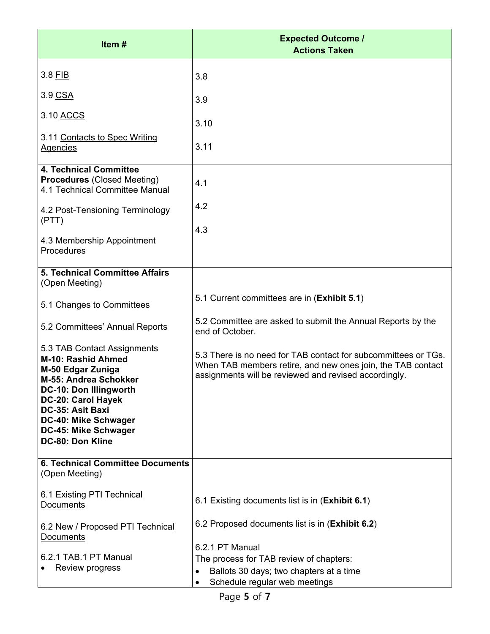| Item#                                                                                                                                                                                                                                                 | <b>Expected Outcome /</b><br><b>Actions Taken</b>                                                                                                                                      |
|-------------------------------------------------------------------------------------------------------------------------------------------------------------------------------------------------------------------------------------------------------|----------------------------------------------------------------------------------------------------------------------------------------------------------------------------------------|
| 3.8 FIB                                                                                                                                                                                                                                               | 3.8                                                                                                                                                                                    |
| 3.9 CSA                                                                                                                                                                                                                                               | 3.9                                                                                                                                                                                    |
| 3.10 ACCS                                                                                                                                                                                                                                             | 3.10                                                                                                                                                                                   |
| 3.11 Contacts to Spec Writing<br><b>Agencies</b>                                                                                                                                                                                                      | 3.11                                                                                                                                                                                   |
| <b>4. Technical Committee</b><br><b>Procedures (Closed Meeting)</b><br>4.1 Technical Committee Manual                                                                                                                                                 | 4.1                                                                                                                                                                                    |
| 4.2 Post-Tensioning Terminology<br>(PTT)                                                                                                                                                                                                              | 4.2                                                                                                                                                                                    |
| 4.3 Membership Appointment<br>Procedures                                                                                                                                                                                                              | 4.3                                                                                                                                                                                    |
| 5. Technical Committee Affairs<br>(Open Meeting)                                                                                                                                                                                                      |                                                                                                                                                                                        |
| 5.1 Changes to Committees                                                                                                                                                                                                                             | 5.1 Current committees are in (Exhibit 5.1)                                                                                                                                            |
| 5.2 Committees' Annual Reports                                                                                                                                                                                                                        | 5.2 Committee are asked to submit the Annual Reports by the<br>end of October.                                                                                                         |
| 5.3 TAB Contact Assignments<br><b>M-10: Rashid Ahmed</b><br>M-50 Edgar Zuniga<br>M-55: Andrea Schokker<br><b>DC-10: Don Illingworth</b><br>DC-20: Carol Hayek<br>DC-35: Asit Baxi<br>DC-40: Mike Schwager<br>DC-45: Mike Schwager<br>DC-80: Don Kline | 5.3 There is no need for TAB contact for subcommittees or TGs.<br>When TAB members retire, and new ones join, the TAB contact<br>assignments will be reviewed and revised accordingly. |
| <b>6. Technical Committee Documents</b><br>(Open Meeting)                                                                                                                                                                                             |                                                                                                                                                                                        |
| 6.1 Existing PTI Technical<br><b>Documents</b>                                                                                                                                                                                                        | 6.1 Existing documents list is in (Exhibit 6.1)                                                                                                                                        |
| 6.2 New / Proposed PTI Technical<br><b>Documents</b>                                                                                                                                                                                                  | 6.2 Proposed documents list is in (Exhibit 6.2)                                                                                                                                        |
| 6.2.1 TAB.1 PT Manual<br>Review progress                                                                                                                                                                                                              | 6.2.1 PT Manual<br>The process for TAB review of chapters:<br>Ballots 30 days; two chapters at a time<br>$\bullet$<br>Schedule regular web meetings<br>$\bullet$                       |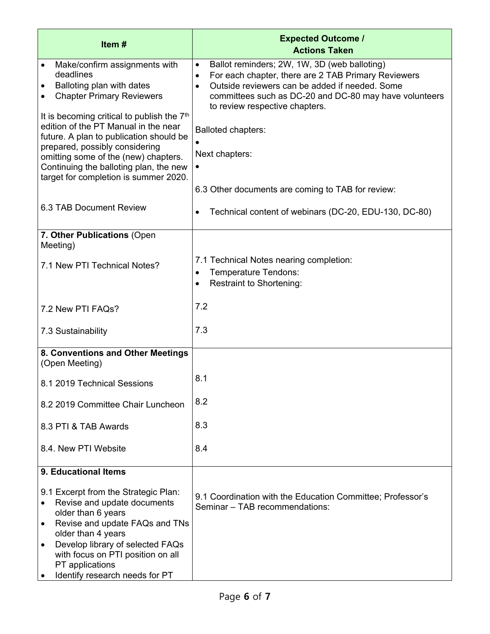| Item#                                                                                                                                                                                                                                                                                                                     | <b>Expected Outcome /</b><br><b>Actions Taken</b>                                                                                                                                                                                                                                        |
|---------------------------------------------------------------------------------------------------------------------------------------------------------------------------------------------------------------------------------------------------------------------------------------------------------------------------|------------------------------------------------------------------------------------------------------------------------------------------------------------------------------------------------------------------------------------------------------------------------------------------|
| Make/confirm assignments with<br>deadlines<br>Balloting plan with dates<br>$\bullet$<br><b>Chapter Primary Reviewers</b>                                                                                                                                                                                                  | Ballot reminders; 2W, 1W, 3D (web balloting)<br>$\bullet$<br>For each chapter, there are 2 TAB Primary Reviewers<br>$\bullet$<br>Outside reviewers can be added if needed. Some<br>$\bullet$<br>committees such as DC-20 and DC-80 may have volunteers<br>to review respective chapters. |
| It is becoming critical to publish the 7 <sup>th</sup><br>edition of the PT Manual in the near<br>future. A plan to publication should be<br>prepared, possibly considering<br>omitting some of the (new) chapters.<br>Continuing the balloting plan, the new<br>target for completion is summer 2020.                    | <b>Balloted chapters:</b><br>Next chapters:<br>$\bullet$<br>6.3 Other documents are coming to TAB for review:                                                                                                                                                                            |
| 6.3 TAB Document Review                                                                                                                                                                                                                                                                                                   | Technical content of webinars (DC-20, EDU-130, DC-80)<br>$\bullet$                                                                                                                                                                                                                       |
| 7. Other Publications (Open<br>Meeting)<br>7.1 New PTI Technical Notes?                                                                                                                                                                                                                                                   | 7.1 Technical Notes nearing completion:<br>Temperature Tendons:<br>$\bullet$<br><b>Restraint to Shortening:</b><br>$\bullet$                                                                                                                                                             |
| 7.2 New PTI FAQs?                                                                                                                                                                                                                                                                                                         | 7.2                                                                                                                                                                                                                                                                                      |
| 7.3 Sustainability                                                                                                                                                                                                                                                                                                        | 7.3                                                                                                                                                                                                                                                                                      |
| 8. Conventions and Other Meetings<br>(Open Meeting)                                                                                                                                                                                                                                                                       |                                                                                                                                                                                                                                                                                          |
| 8.1 2019 Technical Sessions                                                                                                                                                                                                                                                                                               | 8.1                                                                                                                                                                                                                                                                                      |
| 8.2 2019 Committee Chair Luncheon                                                                                                                                                                                                                                                                                         | 8.2                                                                                                                                                                                                                                                                                      |
| 8.3 PTI & TAB Awards                                                                                                                                                                                                                                                                                                      | 8.3                                                                                                                                                                                                                                                                                      |
| 8.4. New PTI Website                                                                                                                                                                                                                                                                                                      | 8.4                                                                                                                                                                                                                                                                                      |
| 9. Educational Items<br>9.1 Excerpt from the Strategic Plan:<br>Revise and update documents<br>older than 6 years<br>Revise and update FAQs and TNs<br>$\bullet$<br>older than 4 years<br>Develop library of selected FAQs<br>٠<br>with focus on PTI position on all<br>PT applications<br>Identify research needs for PT | 9.1 Coordination with the Education Committee; Professor's<br>Seminar - TAB recommendations:                                                                                                                                                                                             |